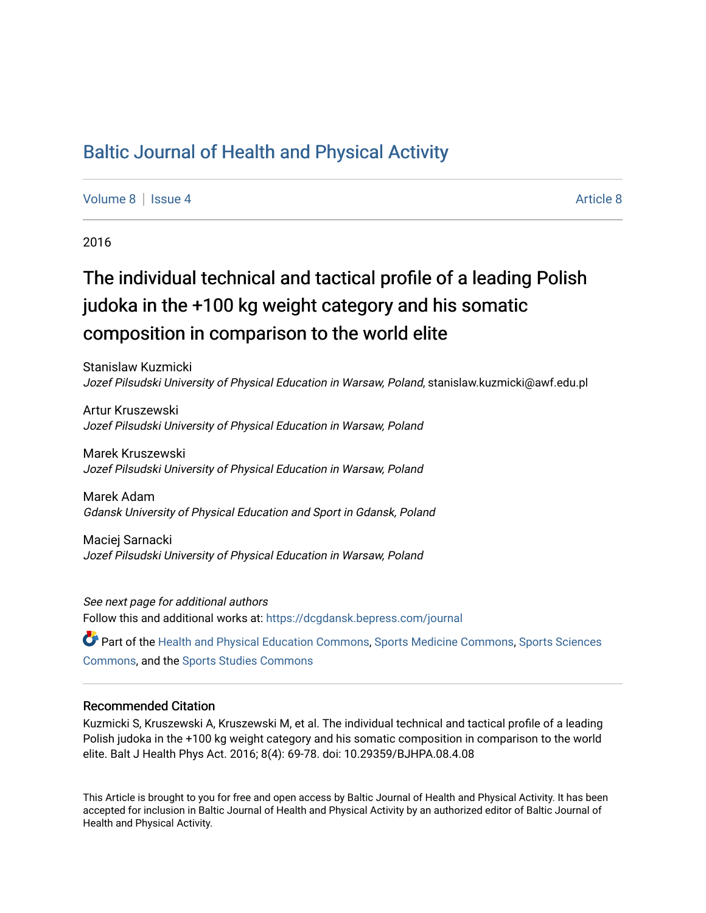## [Baltic Journal of Health and Physical Activity](https://dcgdansk.bepress.com/journal)

[Volume 8](https://dcgdansk.bepress.com/journal/vol8) | [Issue 4](https://dcgdansk.bepress.com/journal/vol8/iss4) [Article 8](https://dcgdansk.bepress.com/journal/vol8/iss4/8) Article 8

2016

# The individual technical and tactical profile of a leading Polish judoka in the +100 kg weight category and his somatic composition in comparison to the world elite

Stanislaw Kuzmicki Jozef Pilsudski University of Physical Education in Warsaw, Poland, stanislaw.kuzmicki@awf.edu.pl

Artur Kruszewski Jozef Pilsudski University of Physical Education in Warsaw, Poland

Marek Kruszewski Jozef Pilsudski University of Physical Education in Warsaw, Poland

Marek Adam Gdansk University of Physical Education and Sport in Gdansk, Poland

Maciej Sarnacki Jozef Pilsudski University of Physical Education in Warsaw, Poland

See next page for additional authors Follow this and additional works at: [https://dcgdansk.bepress.com/journal](https://dcgdansk.bepress.com/journal?utm_source=dcgdansk.bepress.com%2Fjournal%2Fvol8%2Fiss4%2F8&utm_medium=PDF&utm_campaign=PDFCoverPages)

Part of the [Health and Physical Education Commons](http://network.bepress.com/hgg/discipline/1327?utm_source=dcgdansk.bepress.com%2Fjournal%2Fvol8%2Fiss4%2F8&utm_medium=PDF&utm_campaign=PDFCoverPages), [Sports Medicine Commons,](http://network.bepress.com/hgg/discipline/1331?utm_source=dcgdansk.bepress.com%2Fjournal%2Fvol8%2Fiss4%2F8&utm_medium=PDF&utm_campaign=PDFCoverPages) [Sports Sciences](http://network.bepress.com/hgg/discipline/759?utm_source=dcgdansk.bepress.com%2Fjournal%2Fvol8%2Fiss4%2F8&utm_medium=PDF&utm_campaign=PDFCoverPages) [Commons](http://network.bepress.com/hgg/discipline/759?utm_source=dcgdansk.bepress.com%2Fjournal%2Fvol8%2Fiss4%2F8&utm_medium=PDF&utm_campaign=PDFCoverPages), and the [Sports Studies Commons](http://network.bepress.com/hgg/discipline/1198?utm_source=dcgdansk.bepress.com%2Fjournal%2Fvol8%2Fiss4%2F8&utm_medium=PDF&utm_campaign=PDFCoverPages) 

#### Recommended Citation

Kuzmicki S, Kruszewski A, Kruszewski M, et al. The individual technical and tactical profile of a leading Polish judoka in the +100 kg weight category and his somatic composition in comparison to the world elite. Balt J Health Phys Act. 2016; 8(4): 69-78. doi: 10.29359/BJHPA.08.4.08

This Article is brought to you for free and open access by Baltic Journal of Health and Physical Activity. It has been accepted for inclusion in Baltic Journal of Health and Physical Activity by an authorized editor of Baltic Journal of Health and Physical Activity.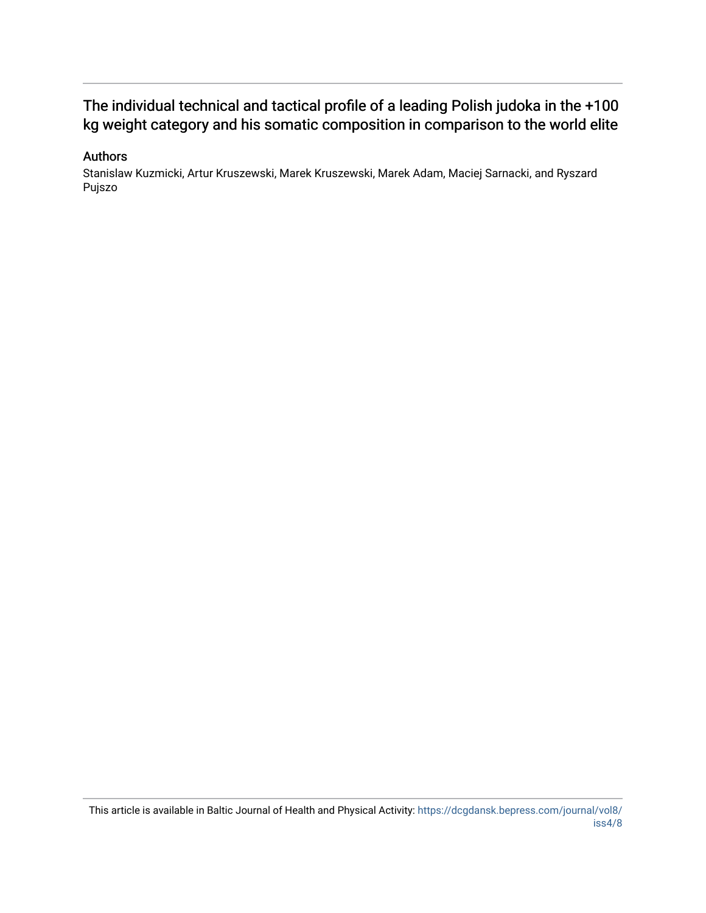## The individual technical and tactical profile of a leading Polish judoka in the +100 kg weight category and his somatic composition in comparison to the world elite

#### Authors

Stanislaw Kuzmicki, Artur Kruszewski, Marek Kruszewski, Marek Adam, Maciej Sarnacki, and Ryszard Pujszo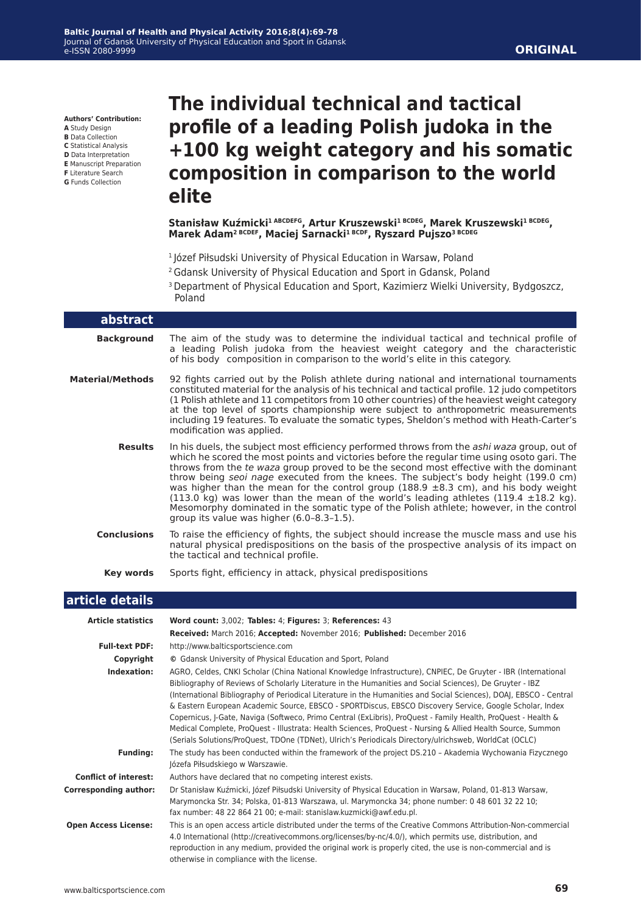**Authors' Contribution:**

- **A** Study Design
- **B** Data Collection
- **C** Statistical Analysis
- **D** Data Interpretation **E** Manuscript Preparation
- **F** Literature Search
- **G** Funds Collection

# **The individual technical and tactical profile of a leading Polish judoka in the +100 kg weight category and his somatic composition in comparison to the world elite**

**Stanisław Kuźmicki1 ABCDEFG, Artur Kruszewski1 BCDEG, Marek Kruszewski1 BCDEG, Marek Adam2 BCDEF, Maciej Sarnacki1 BCDF, Ryszard Pujszo3 BCDEG**

- <sup>1</sup> Józef Piłsudski University of Physical Education in Warsaw, Poland
- 2 Gdansk University of Physical Education and Sport in Gdansk, Poland
- <sup>3</sup> Department of Physical Education and Sport, Kazimierz Wielki University, Bydgoszcz, Poland

| abstract                     |                                                                                                                                                                                                                                                                                                                                                                                                                                                                                                                                                                                                                                                                                                                                                                                                      |
|------------------------------|------------------------------------------------------------------------------------------------------------------------------------------------------------------------------------------------------------------------------------------------------------------------------------------------------------------------------------------------------------------------------------------------------------------------------------------------------------------------------------------------------------------------------------------------------------------------------------------------------------------------------------------------------------------------------------------------------------------------------------------------------------------------------------------------------|
| <b>Background</b>            | The aim of the study was to determine the individual tactical and technical profile of<br>a leading Polish judoka from the heaviest weight category and the characteristic<br>of his body composition in comparison to the world's elite in this category.                                                                                                                                                                                                                                                                                                                                                                                                                                                                                                                                           |
| <b>Material/Methods</b>      | 92 fights carried out by the Polish athlete during national and international tournaments<br>constituted material for the analysis of his technical and tactical profile. 12 judo competitors<br>(1 Polish athlete and 11 competitors from 10 other countries) of the heaviest weight category<br>at the top level of sports championship were subject to anthropometric measurements<br>including 19 features. To evaluate the somatic types, Sheldon's method with Heath-Carter's<br>modification was applied.                                                                                                                                                                                                                                                                                     |
| <b>Results</b>               | In his duels, the subject most efficiency performed throws from the <i>ashi waza</i> group, out of<br>which he scored the most points and victories before the regular time using osoto gari. The<br>throws from the te waza group proved to be the second most effective with the dominant<br>throw being seoi nage executed from the knees. The subject's body height (199.0 cm)<br>was higher than the mean for the control group (188.9 $\pm$ 8.3 cm), and his body weight<br>$(113.0 \text{ kg})$ was lower than the mean of the world's leading athletes $(119.4 \pm 18.2 \text{ kg})$ .<br>Mesomorphy dominated in the somatic type of the Polish athlete; however, in the control<br>group its value was higher (6.0-8.3-1.5).                                                               |
| <b>Conclusions</b>           | To raise the efficiency of fights, the subject should increase the muscle mass and use his<br>natural physical predispositions on the basis of the prospective analysis of its impact on<br>the tactical and technical profile.                                                                                                                                                                                                                                                                                                                                                                                                                                                                                                                                                                      |
| Key words                    | Sports fight, efficiency in attack, physical predispositions                                                                                                                                                                                                                                                                                                                                                                                                                                                                                                                                                                                                                                                                                                                                         |
|                              |                                                                                                                                                                                                                                                                                                                                                                                                                                                                                                                                                                                                                                                                                                                                                                                                      |
| article details              |                                                                                                                                                                                                                                                                                                                                                                                                                                                                                                                                                                                                                                                                                                                                                                                                      |
| <b>Article statistics</b>    | Word count: 3,002; Tables: 4; Figures: 3; References: 43                                                                                                                                                                                                                                                                                                                                                                                                                                                                                                                                                                                                                                                                                                                                             |
|                              | Received: March 2016; Accepted: November 2016; Published: December 2016                                                                                                                                                                                                                                                                                                                                                                                                                                                                                                                                                                                                                                                                                                                              |
| <b>Full-text PDF:</b>        | http://www.balticsportscience.com                                                                                                                                                                                                                                                                                                                                                                                                                                                                                                                                                                                                                                                                                                                                                                    |
| Copyright                    | © Gdansk University of Physical Education and Sport, Poland                                                                                                                                                                                                                                                                                                                                                                                                                                                                                                                                                                                                                                                                                                                                          |
| Indexation:                  | AGRO, Celdes, CNKI Scholar (China National Knowledge Infrastructure), CNPIEC, De Gruyter - IBR (International<br>Bibliography of Reviews of Scholarly Literature in the Humanities and Social Sciences), De Gruyter - IBZ<br>(International Bibliography of Periodical Literature in the Humanities and Social Sciences), DOAI, EBSCO - Central<br>& Eastern European Academic Source, EBSCO - SPORTDiscus, EBSCO Discovery Service, Google Scholar, Index<br>Copernicus, J-Gate, Naviga (Softweco, Primo Central (ExLibris), ProQuest - Family Health, ProQuest - Health &<br>Medical Complete, ProQuest - Illustrata: Health Sciences, ProQuest - Nursing & Allied Health Source, Summon<br>(Serials Solutions/ProQuest, TDOne (TDNet), Ulrich's Periodicals Directory/ulrichsweb, WorldCat (OCLC) |
| <b>Funding:</b>              | The study has been conducted within the framework of the project DS.210 - Akademia Wychowania Fizycznego<br>Józefa Piłsudskiego w Warszawie.                                                                                                                                                                                                                                                                                                                                                                                                                                                                                                                                                                                                                                                         |
| <b>Conflict of interest:</b> | Authors have declared that no competing interest exists.                                                                                                                                                                                                                                                                                                                                                                                                                                                                                                                                                                                                                                                                                                                                             |
| <b>Corresponding author:</b> | Dr Stanisław Kuźmicki, Józef Piłsudski University of Physical Education in Warsaw, Poland, 01-813 Warsaw,<br>Marymoncka Str. 34; Polska, 01-813 Warszawa, ul. Marymoncka 34; phone number: 0 48 601 32 22 10;<br>fax number: 48 22 864 21 00; e-mail: stanislaw.kuzmicki@awf.edu.pl.                                                                                                                                                                                                                                                                                                                                                                                                                                                                                                                 |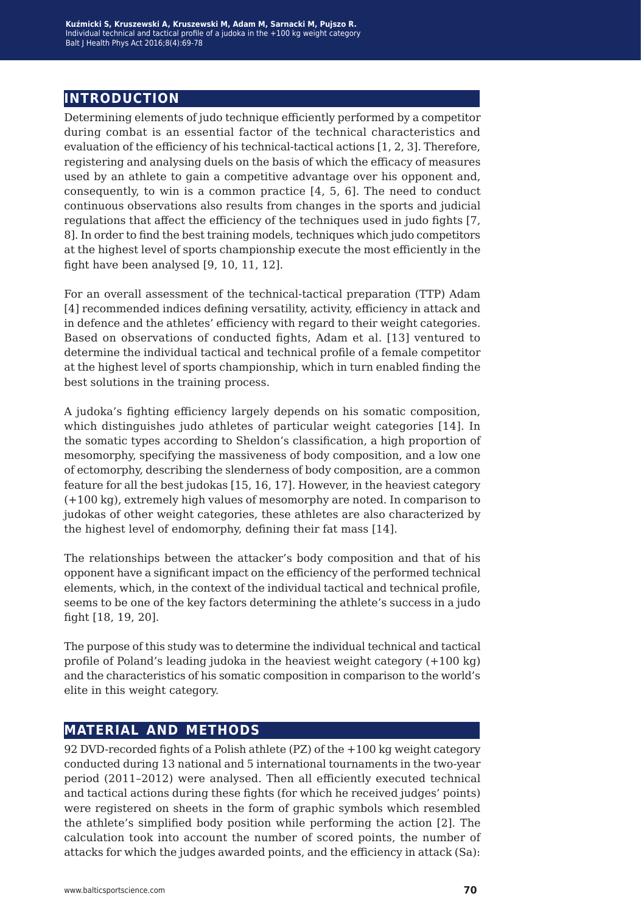### **introduction**

Determining elements of judo technique efficiently performed by a competitor during combat is an essential factor of the technical characteristics and evaluation of the efficiency of his technical-tactical actions [1, 2, 3]. Therefore, registering and analysing duels on the basis of which the efficacy of measures used by an athlete to gain a competitive advantage over his opponent and, consequently, to win is a common practice [4, 5, 6]. The need to conduct continuous observations also results from changes in the sports and judicial regulations that affect the efficiency of the techniques used in judo fights [7, 8]. In order to find the best training models, techniques which judo competitors at the highest level of sports championship execute the most efficiently in the fight have been analysed [9, 10, 11, 12].

For an overall assessment of the technical-tactical preparation (TTP) Adam [4] recommended indices defining versatility, activity, efficiency in attack and in defence and the athletes' efficiency with regard to their weight categories. Based on observations of conducted fights, Adam et al. [13] ventured to determine the individual tactical and technical profile of a female competitor at the highest level of sports championship, which in turn enabled finding the best solutions in the training process.

A judoka's fighting efficiency largely depends on his somatic composition, which distinguishes judo athletes of particular weight categories [14]. In the somatic types according to Sheldon's classification, a high proportion of mesomorphy, specifying the massiveness of body composition, and a low one of ectomorphy, describing the slenderness of body composition, are a common feature for all the best judokas [15, 16, 17]. However, in the heaviest category (+100 kg), extremely high values of mesomorphy are noted. In comparison to judokas of other weight categories, these athletes are also characterized by the highest level of endomorphy, defining their fat mass [14].

The relationships between the attacker's body composition and that of his opponent have a significant impact on the efficiency of the performed technical elements, which, in the context of the individual tactical and technical profile, seems to be one of the key factors determining the athlete's success in a judo fight [18, 19, 20].

The purpose of this study was to determine the individual technical and tactical profile of Poland's leading judoka in the heaviest weight category (+100 kg) and the characteristics of his somatic composition in comparison to the world's elite in this weight category.

#### **material and methods**

92 DVD-recorded fights of a Polish athlete (PZ) of the +100 kg weight category conducted during 13 national and 5 international tournaments in the two-year period (2011–2012) were analysed. Then all efficiently executed technical and tactical actions during these fights (for which he received judges' points) were registered on sheets in the form of graphic symbols which resembled the athlete's simplified body position while performing the action [2]. The calculation took into account the number of scored points, the number of attacks for which the judges awarded points, and the efficiency in attack (Sa):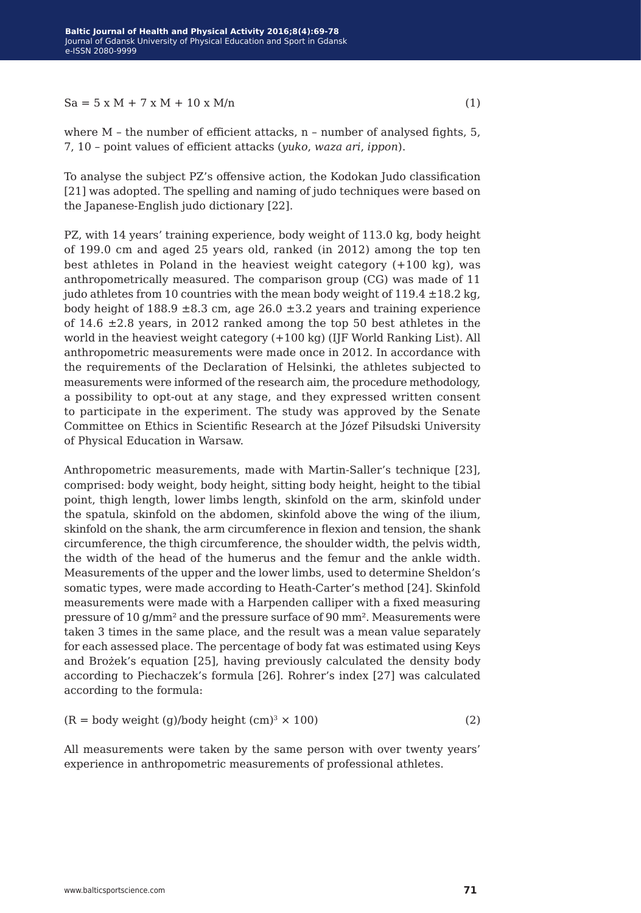$Sa = 5 \times M + 7 \times M + 10 \times M/n$  (1)

where M – the number of efficient attacks, n – number of analysed fights, 5, 7, 10 – point values of efficient attacks (*yuko*, *waza ari*, *ippon*).

To analyse the subject PZ's offensive action, the Kodokan Judo classification [21] was adopted. The spelling and naming of judo techniques were based on the Japanese-English judo dictionary [22].

PZ, with 14 years' training experience, body weight of 113.0 kg, body height of 199.0 cm and aged 25 years old, ranked (in 2012) among the top ten best athletes in Poland in the heaviest weight category (+100 kg), was anthropometrically measured. The comparison group (CG) was made of 11 judo athletes from 10 countries with the mean body weight of  $119.4 \pm 18.2$  kg, body height of 188.9  $\pm$ 8.3 cm, age 26.0  $\pm$ 3.2 years and training experience of 14.6  $\pm$ 2.8 years, in 2012 ranked among the top 50 best athletes in the world in the heaviest weight category (+100 kg) (IJF World Ranking List). All anthropometric measurements were made once in 2012. In accordance with the requirements of the Declaration of Helsinki, the athletes subjected to measurements were informed of the research aim, the procedure methodology, a possibility to opt-out at any stage, and they expressed written consent to participate in the experiment. The study was approved by the Senate Committee on Ethics in Scientific Research at the Józef Piłsudski University of Physical Education in Warsaw.

Anthropometric measurements, made with Martin-Saller's technique [23], comprised: body weight, body height, sitting body height, height to the tibial point, thigh length, lower limbs length, skinfold on the arm, skinfold under the spatula, skinfold on the abdomen, skinfold above the wing of the ilium, skinfold on the shank, the arm circumference in flexion and tension, the shank circumference, the thigh circumference, the shoulder width, the pelvis width, the width of the head of the humerus and the femur and the ankle width. Measurements of the upper and the lower limbs, used to determine Sheldon's somatic types, were made according to Heath-Carter's method [24]. Skinfold measurements were made with a Harpenden calliper with a fixed measuring pressure of 10 g/mm² and the pressure surface of 90 mm². Measurements were taken 3 times in the same place, and the result was a mean value separately for each assessed place. The percentage of body fat was estimated using Keys and Brożek's equation [25], having previously calculated the density body according to Piechaczek's formula [26]. Rohrer's index [27] was calculated according to the formula:

$$
(R = body weight (g)/body height (cm)3 × 100)
$$
 (2)

All measurements were taken by the same person with over twenty years' experience in anthropometric measurements of professional athletes.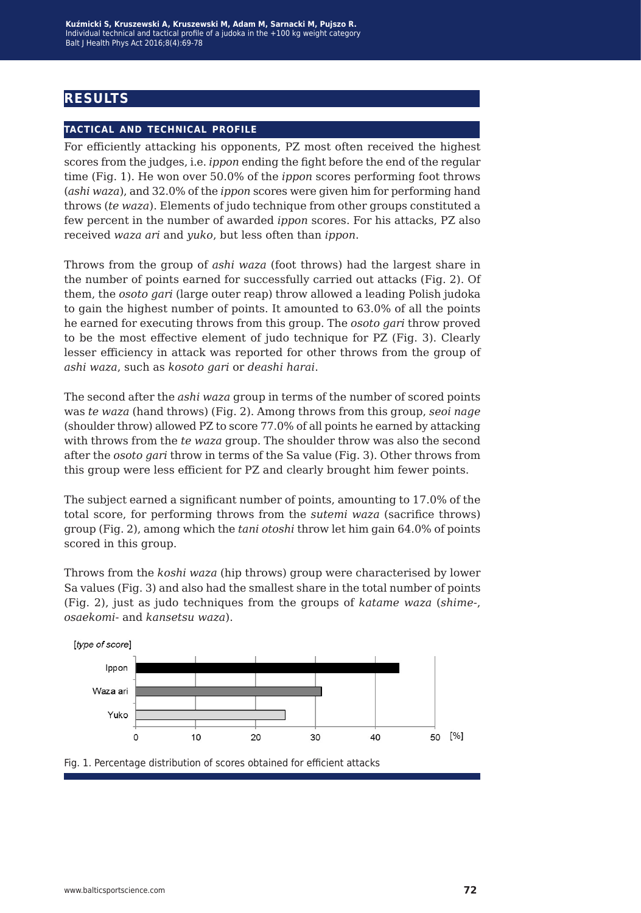### **results**

#### **tactical and technical profile**

For efficiently attacking his opponents, PZ most often received the highest scores from the judges, i.e. *ippon* ending the fight before the end of the regular time (Fig. 1). He won over 50.0% of the *ippon* scores performing foot throws (*ashi waza*), and 32.0% of the *ippon* scores were given him for performing hand throws (*te waza*). Elements of judo technique from other groups constituted a few percent in the number of awarded *ippon* scores. For his attacks, PZ also received *waza ari* and *yuko*, but less often than *ippon*.

Throws from the group of *ashi waza* (foot throws) had the largest share in the number of points earned for successfully carried out attacks (Fig. 2). Of them, the *osoto gari* (large outer reap) throw allowed a leading Polish judoka to gain the highest number of points. It amounted to 63.0% of all the points he earned for executing throws from this group. The *osoto gari* throw proved to be the most effective element of judo technique for PZ (Fig. 3). Clearly lesser efficiency in attack was reported for other throws from the group of *ashi waza*, such as *kosoto gari* or *deashi harai*.

The second after the *ashi waza* group in terms of the number of scored points was *te waza* (hand throws) (Fig. 2). Among throws from this group, *seoi nage* (shoulder throw) allowed PZ to score 77.0% of all points he earned by attacking with throws from the *te waza* group. The shoulder throw was also the second after the *osoto gari* throw in terms of the Sa value (Fig. 3). Other throws from this group were less efficient for PZ and clearly brought him fewer points.

The subject earned a significant number of points, amounting to 17.0% of the total score, for performing throws from the *sutemi waza* (sacrifice throws) group (Fig. 2), among which the *tani otoshi* throw let him gain 64.0% of points scored in this group.

Throws from the *koshi waza* (hip throws) group were characterised by lower Sa values (Fig. 3) and also had the smallest share in the total number of points (Fig. 2), just as judo techniques from the groups of *katame waza* (*shime*-, *osaekomi*- and *kansetsu waza*).



Fig. 1. Percentage distribution of scores obtained for efficient attacks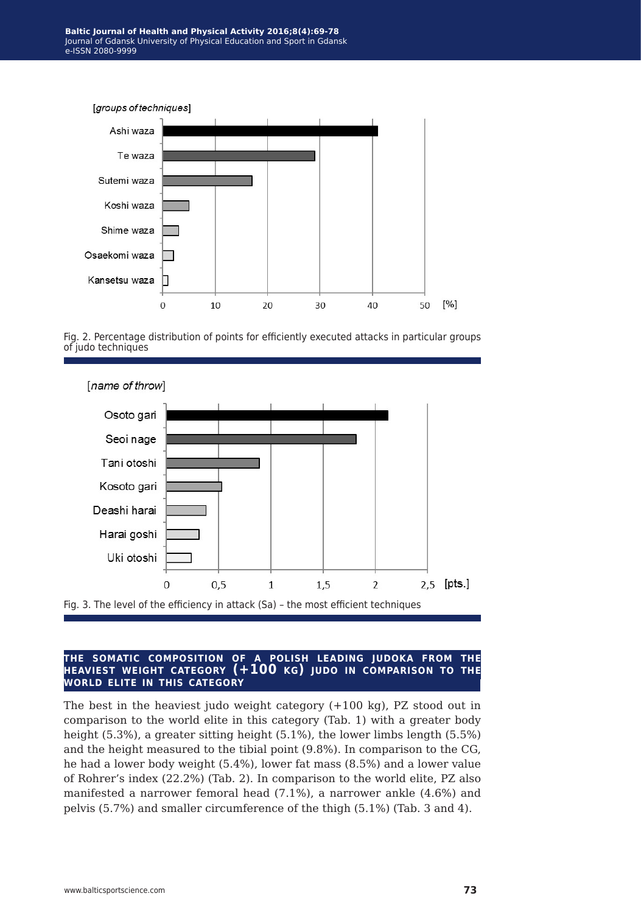

Fig. 2. Percentage distribution of points for efficiently executed attacks in particular groups of judo techniques



Fig. 3. The level of the efficiency in attack (Sa) – the most efficient techniques

#### **the somatic composition of a polish leading judoka from the heaviest weight category (+100 kg) judo in comparison to the world elite in this category**

The best in the heaviest judo weight category (+100 kg), PZ stood out in comparison to the world elite in this category (Tab. 1) with a greater body height (5.3%), a greater sitting height (5.1%), the lower limbs length (5.5%) and the height measured to the tibial point (9.8%). In comparison to the CG, he had a lower body weight (5.4%), lower fat mass (8.5%) and a lower value of Rohrer's index (22.2%) (Tab. 2). In comparison to the world elite, PZ also manifested a narrower femoral head (7.1%), a narrower ankle (4.6%) and pelvis (5.7%) and smaller circumference of the thigh (5.1%) (Tab. 3 and 4).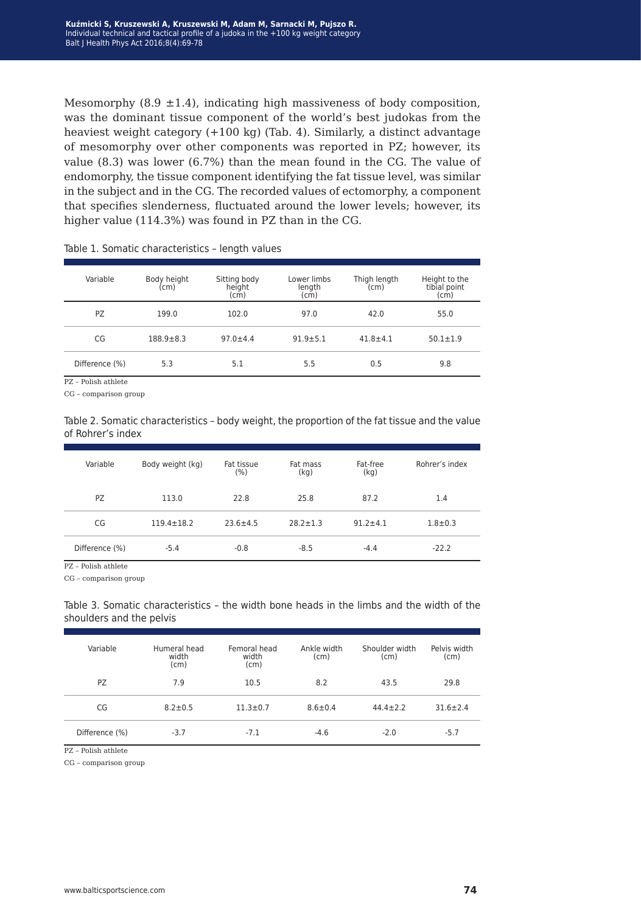Mesomorphy  $(8.9 \pm 1.4)$ , indicating high massiveness of body composition, was the dominant tissue component of the world's best judokas from the heaviest weight category (+100 kg) (Tab. 4). Similarly, a distinct advantage of mesomorphy over other components was reported in PZ; however, its value (8.3) was lower (6.7%) than the mean found in the CG. The value of endomorphy, the tissue component identifying the fat tissue level, was similar in the subject and in the CG. The recorded values of ectomorphy, a component that specifies slenderness, fluctuated around the lower levels; however, its higher value (114.3%) was found in PZ than in the CG.

| Variable       | Body height<br>(cm) | Sitting body<br>height<br>$\text{(cm)}$ | Lower limbs<br>length<br>(cm) | Thigh length<br>(cm) | Height to the<br>tibial point<br>(cm) |
|----------------|---------------------|-----------------------------------------|-------------------------------|----------------------|---------------------------------------|
| PZ             | 199.0               | 102.0                                   | 97.0                          | 42.0                 | 55.0                                  |
| CG             | $188.9 \pm 8.3$     | $97.0 \pm 4.4$                          | $91.9 \pm 5.1$                | $41.8 + 4.1$         | $50.1 \pm 1.9$                        |
| Difference (%) | 5.3                 | 5.1                                     | 5.5                           | 0.5                  | 9.8                                   |
| __ _           |                     |                                         |                               |                      |                                       |

Table 1. Somatic characteristics – length values

PZ – Polish athlete

CG – comparison group

Table 2. Somatic characteristics – body weight, the proportion of the fat tissue and the value of Rohrer's index

| Variable       | Body weight (kg) | Fat tissue<br>(%) | Fat mass<br>(kg) | Fat-free<br>(kg) | Rohrer's index |
|----------------|------------------|-------------------|------------------|------------------|----------------|
| PZ             | 113.0            | 22.8              | 25.8             | 87.2             | 1.4            |
| CG             | $119.4 \pm 18.2$ | $23.6 \pm 4.5$    | $28.2 \pm 1.3$   | $91.2 + 4.1$     | $1.8 + 0.3$    |
| Difference (%) | $-5.4$           | $-0.8$            | $-8.5$           | $-4.4$           | $-22.2$        |

PZ – Polish athlete

CG – comparison group

Table 3. Somatic characteristics – the width bone heads in the limbs and the width of the shoulders and the pelvis

| Variable       | Humeral head<br>width<br>(cm) | Femoral head<br>width<br>(cm) | Ankle width<br>(cm) | Shoulder width<br>(cm) | Pelvis width<br>(cm) |
|----------------|-------------------------------|-------------------------------|---------------------|------------------------|----------------------|
| PZ             | 7.9                           | 10.5                          | 8.2                 | 43.5                   | 29.8                 |
| CG             | $8.2 \pm 0.5$                 | $11.3 \pm 0.7$                | $8.6 \pm 0.4$       | $44.4 + 2.2$           | $31.6 \pm 2.4$       |
| Difference (%) | $-3.7$                        | $-7.1$                        | $-4.6$              | $-2.0$                 | $-5.7$               |

PZ – Polish athlete

CG – comparison group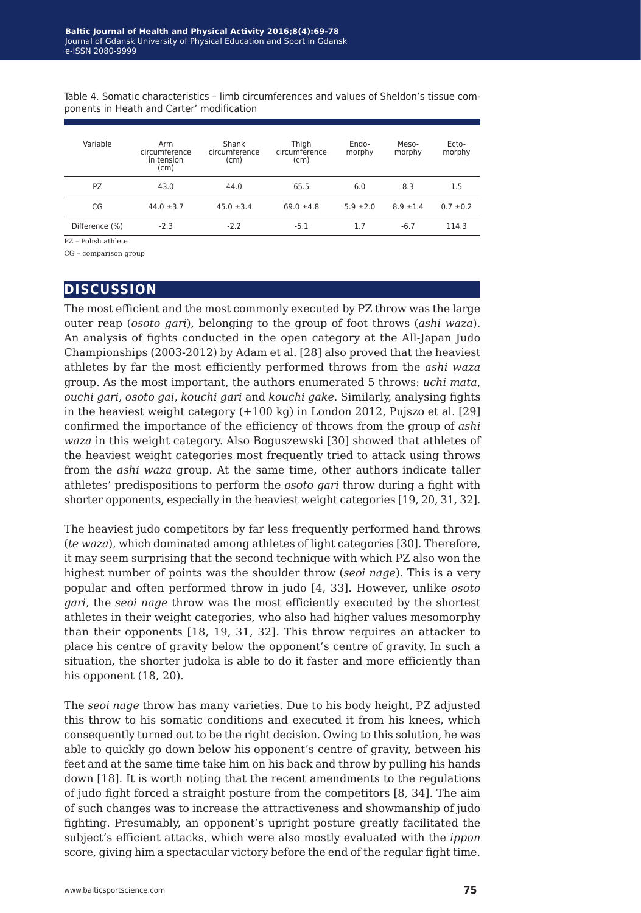Table 4. Somatic characteristics – limb circumferences and values of Sheldon's tissue components in Heath and Carter' modification

| Variable       | Arm<br>circumference<br>in tension<br>(cm) | Shank<br>circumference<br>(cm) | Thiah<br>circumference<br>(cm) | Endo-<br>morphy | Meso-<br>morphy | Ecto-<br>morphy |
|----------------|--------------------------------------------|--------------------------------|--------------------------------|-----------------|-----------------|-----------------|
| PZ             | 43.0                                       | 44.0                           | 65.5                           | 6.0             | 8.3             | 1.5             |
| CG             | $44.0 \pm 3.7$                             | $45.0 \pm 3.4$                 | $69.0 \pm 4.8$                 | $5.9 \pm 2.0$   | $8.9 \pm 1.4$   | $0.7 \pm 0.2$   |
| Difference (%) | $-2.3$                                     | $-2.2$                         | $-5.1$                         | 1.7             | $-6.7$          | 114.3           |

PZ – Polish athlete

CG – comparison group

#### **discussion**

The most efficient and the most commonly executed by PZ throw was the large outer reap (*osoto gari*), belonging to the group of foot throws (*ashi waza*). An analysis of fights conducted in the open category at the All-Japan Judo Championships (2003-2012) by Adam et al. [28] also proved that the heaviest athletes by far the most efficiently performed throws from the *ashi waza* group. As the most important, the authors enumerated 5 throws: *uchi mata*, *ouchi gari*, *osoto gai*, *kouchi gari* and *kouchi gake*. Similarly, analysing fights in the heaviest weight category (+100 kg) in London 2012, Pujszo et al. [29] confirmed the importance of the efficiency of throws from the group of *ashi waza* in this weight category. Also Boguszewski [30] showed that athletes of the heaviest weight categories most frequently tried to attack using throws from the *ashi waza* group. At the same time, other authors indicate taller athletes' predispositions to perform the *osoto gari* throw during a fight with shorter opponents, especially in the heaviest weight categories [19, 20, 31, 32].

The heaviest judo competitors by far less frequently performed hand throws (*te waza*), which dominated among athletes of light categories [30]. Therefore, it may seem surprising that the second technique with which PZ also won the highest number of points was the shoulder throw (*seoi nage*). This is a very popular and often performed throw in judo [4, 33]. However, unlike *osoto gari*, the *seoi nage* throw was the most efficiently executed by the shortest athletes in their weight categories, who also had higher values mesomorphy than their opponents [18, 19, 31, 32]. This throw requires an attacker to place his centre of gravity below the opponent's centre of gravity. In such a situation, the shorter judoka is able to do it faster and more efficiently than his opponent (18, 20).

The *seoi nage* throw has many varieties. Due to his body height, PZ adjusted this throw to his somatic conditions and executed it from his knees, which consequently turned out to be the right decision. Owing to this solution, he was able to quickly go down below his opponent's centre of gravity, between his feet and at the same time take him on his back and throw by pulling his hands down [18]. It is worth noting that the recent amendments to the regulations of judo fight forced a straight posture from the competitors [8, 34]. The aim of such changes was to increase the attractiveness and showmanship of judo fighting. Presumably, an opponent's upright posture greatly facilitated the subject's efficient attacks, which were also mostly evaluated with the *ippon* score, giving him a spectacular victory before the end of the regular fight time.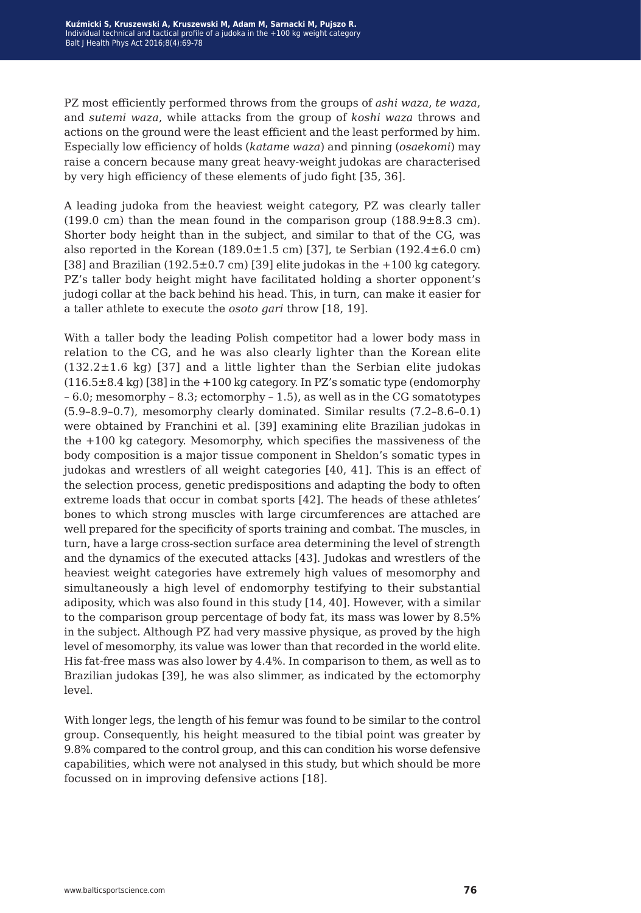PZ most efficiently performed throws from the groups of *ashi waza*, *te waza*, and *sutemi waza*, while attacks from the group of *koshi waza* throws and actions on the ground were the least efficient and the least performed by him. Especially low efficiency of holds (*katame waza*) and pinning (*osaekomi*) may raise a concern because many great heavy-weight judokas are characterised by very high efficiency of these elements of judo fight [35, 36].

A leading judoka from the heaviest weight category, PZ was clearly taller (199.0 cm) than the mean found in the comparison group  $(188.9\pm8.3 \text{ cm})$ . Shorter body height than in the subject, and similar to that of the CG, was also reported in the Korean  $(189.0 \pm 1.5 \text{ cm})$  [37], te Serbian  $(192.4 \pm 6.0 \text{ cm})$ [38] and Brazilian  $(192.5\pm0.7 \text{ cm})$  [39] elite judokas in the  $+100 \text{ kg}$  category. PZ's taller body height might have facilitated holding a shorter opponent's judogi collar at the back behind his head. This, in turn, can make it easier for a taller athlete to execute the *osoto gari* throw [18, 19].

With a taller body the leading Polish competitor had a lower body mass in relation to the CG, and he was also clearly lighter than the Korean elite  $(132.2 \pm 1.6 \text{ kg})$  [37] and a little lighter than the Serbian elite judokas  $(116.5\pm8.4 \text{ kg})$  [38] in the  $+100 \text{ kg}$  category. In PZ's somatic type (endomorphy – 6.0; mesomorphy – 8.3; ectomorphy – 1.5), as well as in the CG somatotypes (5.9–8.9–0.7), mesomorphy clearly dominated. Similar results (7.2–8.6–0.1) were obtained by Franchini et al. [39] examining elite Brazilian judokas in the +100 kg category. Mesomorphy, which specifies the massiveness of the body composition is a major tissue component in Sheldon's somatic types in judokas and wrestlers of all weight categories [40, 41]. This is an effect of the selection process, genetic predispositions and adapting the body to often extreme loads that occur in combat sports [42]. The heads of these athletes' bones to which strong muscles with large circumferences are attached are well prepared for the specificity of sports training and combat. The muscles, in turn, have a large cross-section surface area determining the level of strength and the dynamics of the executed attacks [43]. Judokas and wrestlers of the heaviest weight categories have extremely high values of mesomorphy and simultaneously a high level of endomorphy testifying to their substantial adiposity, which was also found in this study [14, 40]. However, with a similar to the comparison group percentage of body fat, its mass was lower by 8.5% in the subject. Although PZ had very massive physique, as proved by the high level of mesomorphy, its value was lower than that recorded in the world elite. His fat-free mass was also lower by 4.4%. In comparison to them, as well as to Brazilian judokas [39], he was also slimmer, as indicated by the ectomorphy level.

With longer legs, the length of his femur was found to be similar to the control group. Consequently, his height measured to the tibial point was greater by 9.8% compared to the control group, and this can condition his worse defensive capabilities, which were not analysed in this study, but which should be more focussed on in improving defensive actions [18].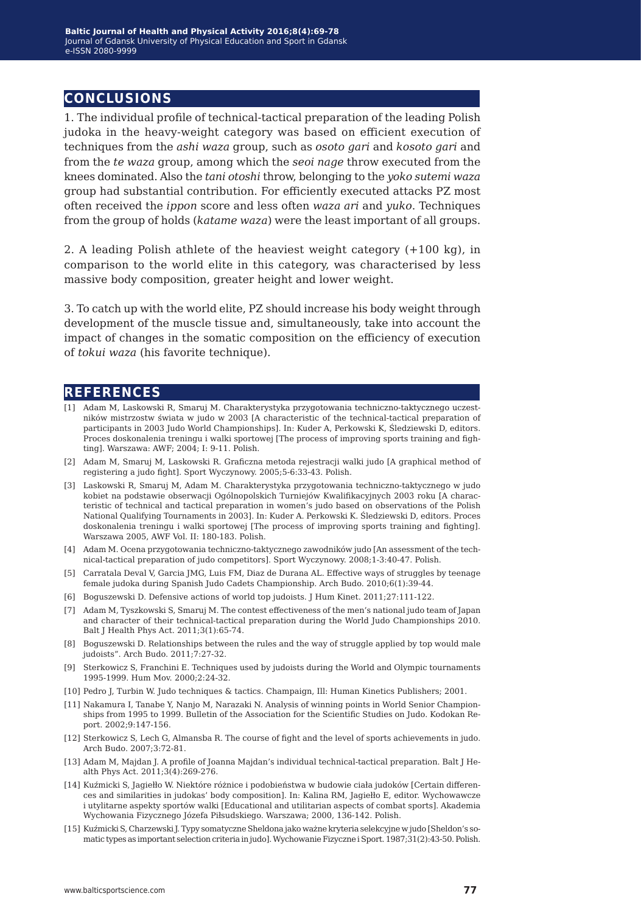#### **conclusions**

1. The individual profile of technical-tactical preparation of the leading Polish judoka in the heavy-weight category was based on efficient execution of techniques from the *ashi waza* group, such as *osoto gari* and *kosoto gari* and from the *te waza* group, among which the *seoi nage* throw executed from the knees dominated. Also the *tani otoshi* throw, belonging to the *yoko sutemi waza* group had substantial contribution. For efficiently executed attacks PZ most often received the *ippon* score and less often *waza ari* and *yuko*. Techniques from the group of holds (*katame waza*) were the least important of all groups.

2. A leading Polish athlete of the heaviest weight category (+100 kg), in comparison to the world elite in this category, was characterised by less massive body composition, greater height and lower weight.

3. To catch up with the world elite, PZ should increase his body weight through development of the muscle tissue and, simultaneously, take into account the impact of changes in the somatic composition on the efficiency of execution of *tokui waza* (his favorite technique).

#### **references**

- [1] Adam M, Laskowski R, Smaruj M. Charakterystyka przygotowania techniczno-taktycznego uczestników mistrzostw świata w judo w 2003 [A characteristic of the technical-tactical preparation of participants in 2003 Judo World Championships]. In: Kuder A, Perkowski K, Śledziewski D, editors. Proces doskonalenia treningu i walki sportowej [The process of improving sports training and fighting]. Warszawa: AWF; 2004; I: 9-11. Polish.
- [2] Adam M, Smaruj M, Laskowski R. Graficzna metoda rejestracji walki judo [A graphical method of registering a judo fight]. Sport Wyczynowy. 2005;5-6:33-43. Polish.
- [3] Laskowski R, Smaruj M, Adam M. Charakterystyka przygotowania techniczno-taktycznego w judo kobiet na podstawie obserwacji Ogólnopolskich Turniejów Kwalifikacyjnych 2003 roku [A characteristic of technical and tactical preparation in women's judo based on observations of the Polish National Qualifying Tournaments in 2003]. In: Kuder A. Perkowski K. Śledziewski D, editors. Proces doskonalenia treningu i walki sportowej [The process of improving sports training and fighting]. Warszawa 2005, AWF Vol. II: 180-183. Polish.
- [4] Adam M. Ocena przygotowania techniczno-taktycznego zawodników judo [An assessment of the technical-tactical preparation of judo competitors]. Sport Wyczynowy. 2008;1-3:40-47. Polish.
- [5] Carratala Deval V, Garcia JMG, Luis FM, Diaz de Durana AL. Effective ways of struggles by teenage female judoka during Spanish Judo Cadets Championship. Arch Budo. 2010;6(1):39-44.
- [6] Boguszewski D. Defensive actions of world top judoists. J Hum Kinet. 2011;27:111-122.
- [7] Adam M, Tyszkowski S, Smaruj M. The contest effectiveness of the men's national judo team of Japan and character of their technical-tactical preparation during the World Judo Championships 2010. Balt J Health Phys Act. 2011;3(1):65-74.
- [8] Boguszewski D. Relationships between the rules and the way of struggle applied by top would male judoists". Arch Budo. 2011;7:27-32.
- [9] Sterkowicz S, Franchini E. Techniques used by judoists during the World and Olympic tournaments 1995-1999. Hum Mov. 2000;2:24-32.
- [10] Pedro J, Turbin W. Judo techniques & tactics. Champaign, Ill: Human Kinetics Publishers; 2001.
- [11] Nakamura I, Tanabe Y, Nanjo M, Narazaki N. Analysis of winning points in World Senior Championships from 1995 to 1999. Bulletin of the Association for the Scientific Studies on Judo. Kodokan Report. 2002;9:147-156.
- [12] Sterkowicz S, Lech G, Almansba R. The course of fight and the level of sports achievements in judo. Arch Budo. 2007;3:72-81.
- [13] Adam M, Majdan J. A profile of Joanna Majdan's individual technical-tactical preparation. Balt J Health Phys Act. 2011;3(4):269-276.
- [14] Kuźmicki S, Jagiełło W. Niektóre różnice i podobieństwa w budowie ciała judoków [Certain differences and similarities in judokas' body composition]. In: Kalina RM, Jagiełło E, editor. Wychowawcze i utylitarne aspekty sportów walki [Educational and utilitarian aspects of combat sports]. Akademia Wychowania Fizycznego Józefa Piłsudskiego. Warszawa; 2000, 136-142. Polish.
- [15] Kuźmicki S, Charzewski J. Typy somatyczne Sheldona jako ważne kryteria selekcyjne w judo [Sheldon's somatic types as important selection criteria in judo]. Wychowanie Fizyczne i Sport. 1987;31(2):43-50. Polish.